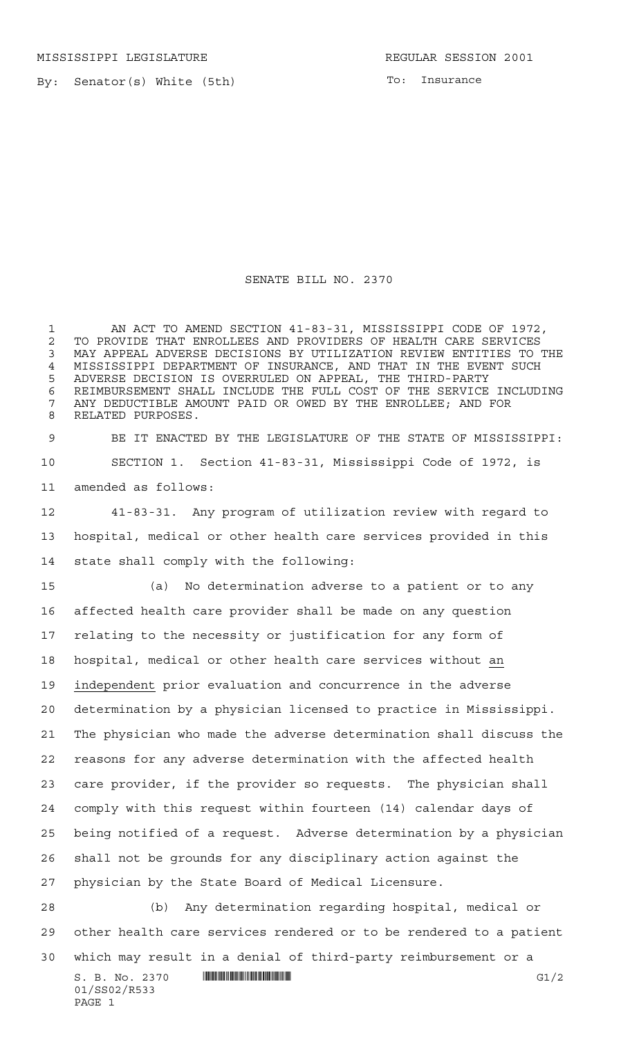MISSISSIPPI LEGISLATURE **REGULAR SESSION 2001** 

By: Senator(s) White (5th)

To: Insurance

SENATE BILL NO. 2370

 AN ACT TO AMEND SECTION 41-83-31, MISSISSIPPI CODE OF 1972, 2 TO PROVIDE THAT ENROLLEES AND PROVIDERS OF HEALTH CARE SERVICES<br>3 MAY APPEAL ADVERSE DECISIONS BY UTILIZATION REVIEW ENTITIES TO T MAY APPEAL ADVERSE DECISIONS BY UTILIZATION REVIEW ENTITIES TO THE MISSISSIPPI DEPARTMENT OF INSURANCE, AND THAT IN THE EVENT SUCH ADVERSE DECISION IS OVERRULED ON APPEAL, THE THIRD-PARTY REIMBURSEMENT SHALL INCLUDE THE FULL COST OF THE SERVICE INCLUDING ANY DEDUCTIBLE AMOUNT PAID OR OWED BY THE ENROLLEE; AND FOR RELATED PURPOSES.

 BE IT ENACTED BY THE LEGISLATURE OF THE STATE OF MISSISSIPPI: SECTION 1. Section 41-83-31, Mississippi Code of 1972, is amended as follows:

 41-83-31. Any program of utilization review with regard to hospital, medical or other health care services provided in this state shall comply with the following:

 (a) No determination adverse to a patient or to any affected health care provider shall be made on any question relating to the necessity or justification for any form of hospital, medical or other health care services without an independent prior evaluation and concurrence in the adverse determination by a physician licensed to practice in Mississippi. The physician who made the adverse determination shall discuss the reasons for any adverse determination with the affected health care provider, if the provider so requests. The physician shall comply with this request within fourteen (14) calendar days of being notified of a request. Adverse determination by a physician shall not be grounds for any disciplinary action against the physician by the State Board of Medical Licensure.

 (b) Any determination regarding hospital, medical or other health care services rendered or to be rendered to a patient

which may result in a denial of third-party reimbursement or a

 $S. B. No. 2370$   $\blacksquare$   $\blacksquare$   $\blacksquare$   $\blacksquare$   $\blacksquare$   $\blacksquare$   $\blacksquare$   $\blacksquare$   $\blacksquare$   $\blacksquare$   $\blacksquare$   $\blacksquare$   $\blacksquare$   $\blacksquare$   $\blacksquare$   $\blacksquare$   $\blacksquare$   $\blacksquare$   $\blacksquare$   $\blacksquare$   $\blacksquare$   $\blacksquare$   $\blacksquare$   $\blacksquare$   $\blacksquare$   $\blacksquare$   $\blacksquare$   $\blacksquare$   $\blacksquare$   $\blacks$ 01/SS02/R533 PAGE 1